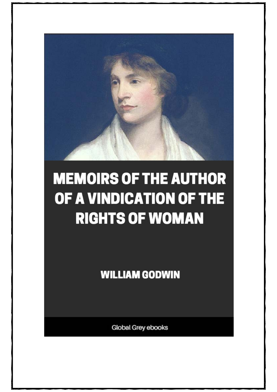

# **MEMOIRS OF THE AUTHOR** OF A VINDICATION OF THE **RIGHTS OF WOMAN**

**WILLIAM GODWIN** 

Global Grey ebooks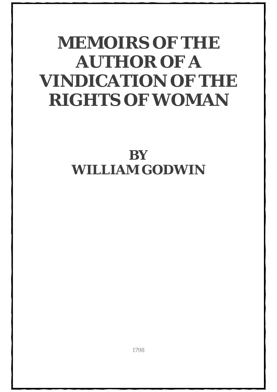# **MEMOIRS OF THE AUTHOR OF A VINDICATION OF THE RIGHTS OF WOMAN**

## **BY WILLIAM GODWIN**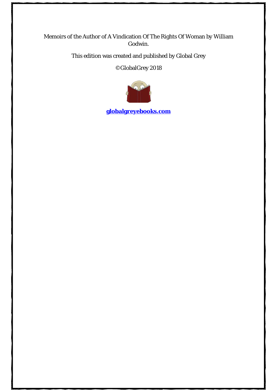#### Memoirs of the Author of A Vindication Of The Rights Of Woman by William Godwin.

This edition was created and published by Global Grey

©GlobalGrey 2018



**[globalgreyebooks.com](https://www.globalgreyebooks.com/)**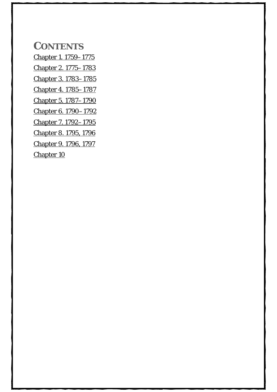**CONTENTS**

[Chapter 1. 1759–1775](#page-5-0) [Chapter 2. 1775–1783](#page-11-0) [Chapter 3. 1783–1785](#page-15-0) [Chapter 4. 1785–1787](#page-21-0) [Chapter 5. 1787–1790](#page-25-0) Chapter [6. 1790–1792](#page-29-0) [Chapter 7. 1792–1795](#page-38-0) [Chapter 8. 1795, 1796](#page-46-0)

[Chapter 9. 1796, 1797](#page-54-0)

[Chapter 10](#page-62-0)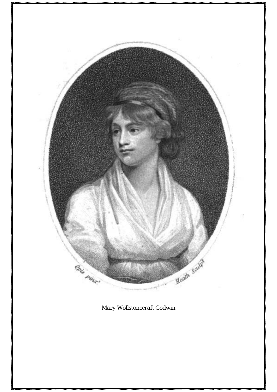

*Mary Wollstonecraft Godwin*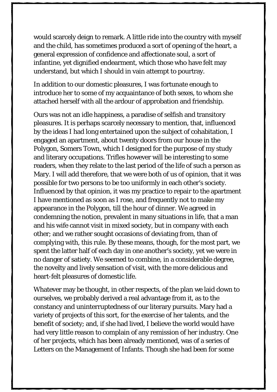would scarcely deign to remark. A little ride into the country with myself and the child, has sometimes produced a sort of opening of the heart, a general expression of confidence and affectionate soul, a sort of infantine, yet dignified endearment, which those who have felt may understand, but which I should in vain attempt to pourtray.

In addition to our domestic pleasures, I was fortunate enough to introduce her to some of my acquaintance of both sexes, to whom she attached herself with all the ardour of approbation and friendship.

Ours was not an idle happiness, a paradise of selfish and transitory pleasures. It is perhaps scarcely necessary to mention, that, influenced by the ideas I had long entertained upon the subject of cohabitation, I engaged an apartment, about twenty doors from our house in the Polygon, Somers Town, which I designed for the purpose of my study and literary occupations. Trifles however will be interesting to some readers, when they relate to the last period of the life of such a person as Mary. I will add therefore, that we were both of us of opinion, that it was possible for two persons to be too uniformly in each other's society. Influenced by that opinion, it was my practice to repair to the apartment I have mentioned as soon as I rose, and frequently not to make my appearance in the Polygon, till the hour of dinner. We agreed in condemning the notion, prevalent in many situations in life, that a man and his wife cannot visit in mixed society, but in company with each other; and we rather sought occasions of deviating from, than of complying with, this rule. By these means, though, for the most part, we spent the latter half of each day in one another's society, yet we were in no danger of satiety. We seemed to combine, in a considerable degree, the novelty and lively sensation of visit, with the more delicious and heart-felt pleasures of domestic life.

Whatever may be thought, in other respects, of the plan we laid down to ourselves, we probably derived a real advantage from it, as to the constancy and uninterruptedness of our literary pursuits. Mary had a variety of projects of this sort, for the exercise of her talents, and the benefit of society; and, if she had lived, I believe the world would have had very little reason to complain of any remission of her industry. One of her projects, which has been already mentioned, was of a series of Letters on the Management of Infants. Though she had been for some

56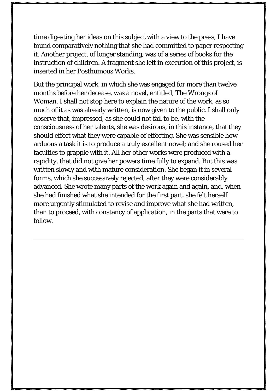time digesting her ideas on this subject with a view to the press, I have found comparatively nothing that she had committed to paper respecting it. Another project, of longer standing, was of a series of books for the instruction of children. A fragment she left in execution of this project, is inserted in her Posthumous Works.

But the principal work, in which she was engaged for more than twelve months before her decease, was a novel, entitled, The Wrongs of Woman. I shall not stop here to explain the nature of the work, as so much of it as was already written, is now given to the public. I shall only observe that, impressed, as she could not fail to be, with the consciousness of her talents, she was desirous, in this instance, that they should effect what they were capable of effecting. She was sensible how arduous a task it is to produce a truly excellent novel; and she roused her faculties to grapple with it. All her other works were produced with a rapidity, that did not give her powers time fully to expand. But this was written slowly and with mature consideration. She began it in several forms, which she successively rejected, after they were considerably advanced. She wrote many parts of the work again and again, and, when she had finished what she intended for the first part, she felt herself more urgently stimulated to revise and improve what she had written, than to proceed, with constancy of application, in the parts that were to follow.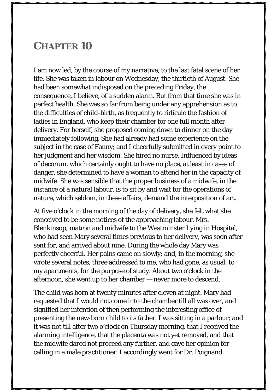### <span id="page-62-0"></span>**CHAPTER 10**

I am now led, by the course of my narrative, to the last fatal scene of her life. She was taken in labour on Wednesday, the thirtieth of August. She had been somewhat indisposed on the preceding Friday, the consequence, I believe, of a sudden alarm. But from that time she was in perfect health. She was so far from being under any apprehension as to the difficulties of child-birth, as frequently to ridicule the fashion of ladies in England, who keep their chamber for one full month after delivery. For herself, she proposed coming down to dinner on the day immediately following. She had already had some experience on the subject in the case of Fanny; and I cheerfully submitted in every point to her judgment and her wisdom. She hired no nurse. Influenced by ideas of decorum, which certainly ought to have no place, at least in cases of danger, she determined to have a woman to attend her in the capacity of midwife. She was sensible that the proper business of a midwife, in the instance of a natural labour, is to sit by and wait for the operations of nature, which seldom, in these affairs, demand the interposition of art.

At five o'clock in the morning of the day of delivery, she felt what she conceived to be some notices of the approaching labour. Mrs. Blenkinsop, matron and midwife to the Westminster Lying in Hospital, who had seen Mary several times previous to her delivery, was soon after sent for, and arrived about nine. During the whole day Mary was perfectly cheerful. Her pains came on slowly; and, in the morning, she wrote several notes, three addressed to me, who had gone, as usual, to my apartments, for the purpose of study. About two o'clock in the afternoon, she went up to her chamber — never more to descend.

The child was born at twenty minutes after eleven at night. Mary had requested that I would not come into the chamber till all was over, and signified her intention of then performing the interesting office of presenting the new-born child to its father. I was sitting in a parlour; and it was not till after two o'clock on Thursday morning, that I received the alarming intelligence, that the placenta was not yet removed, and that the midwife dared not proceed any further, and gave her opinion for calling in a male practitioner. I accordingly went for Dr. Poignand,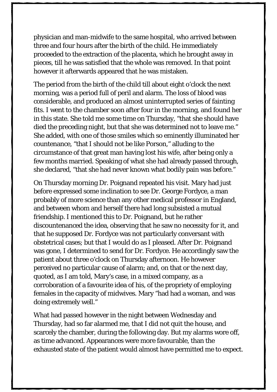physician and man-midwife to the same hospital, who arrived between three and four hours after the birth of the child. He immediately proceeded to the extraction of the placenta, which he brought away in pieces, till he was satisfied that the whole was removed. In that point however it afterwards appeared that he was mistaken.

The period from the birth of the child till about eight o'clock the next morning, was a period full of peril and alarm. The loss of blood was considerable, and produced an almost uninterrupted series of fainting fits. I went to the chamber soon after four in the morning, and found her in this state. She told me some time on Thursday, "that she should have died the preceding night, but that she was determined not to leave me." She added, with one of those smiles which so eminently illuminated her countenance, "that I should not be like Porson," alluding to the circumstance of that great man having lost his wife, after being only a few months married. Speaking of what she had already passed through, she declared, "that she had never known what bodily pain was before."

On Thursday morning Dr. Poignand repeated his visit. Mary had just before expressed some inclination to see Dr. George Fordyce, a man probably of more science than any other medical professor in England, and between whom and herself there had long subsisted a mutual friendship. I mentioned this to Dr. Poignand, but he rather discountenanced the idea, observing that he saw no necessity for it, and that he supposed Dr. Fordyce was not particularly conversant with obstetrical cases; but that I would do as I pleased. After Dr. Poignand was gone, I determined to send for Dr. Fordyce. He accordingly saw the patient about three o'clock on Thursday afternoon. He however perceived no particular cause of alarm; and, on that or the next day, quoted, as I am told, Mary's case, in a mixed company, as a corroboration of a favourite idea of his, of the propriety of employing females in the capacity of midwives. Mary "had had a woman, and was doing extremely well."

What had passed however in the night between Wednesday and Thursday, had so far alarmed me, that I did not quit the house, and scarcely the chamber, during the following day. But my alarms wore off, as time advanced. Appearances were more favourable, than the exhausted state of the patient would almost have permitted me to expect.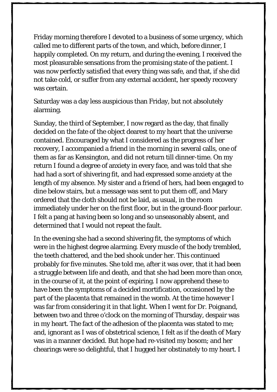Friday morning therefore I devoted to a business of some urgency, which called me to different parts of the town, and which, before dinner, I happily completed. On my return, and during the evening, I received the most pleasurable sensations from the promising state of the patient. I was now perfectly satisfied that every thing was safe, and that, if she did not take cold, or suffer from any external accident, her speedy recovery was certain.

Saturday was a day less auspicious than Friday, but not absolutely alarming.

Sunday, the third of September, I now regard as the day, that finally decided on the fate of the object dearest to my heart that the universe contained. Encouraged by what I considered as the progress of her recovery, I accompanied a friend in the morning in several calls, one of them as far as Kensington, and did not return till dinner-time. On my return I found a degree of anxiety in every face, and was told that she had had a sort of shivering fit, and had expressed some anxiety at the length of my absence. My sister and a friend of hers, had been engaged to dine below stairs, but a message was sent to put them off, and Mary ordered that the cloth should not be laid, as usual, in the room immediately under her on the first floor, but in the ground-floor parlour. I felt a pang at having been so long and so unseasonably absent, and determined that I would not repeat the fault.

In the evening she had a second shivering fit, the symptoms of which were in the highest degree alarming. Every muscle of the body trembled, the teeth chattered, and the bed shook under her. This continued probably for five minutes. She told me, after it was over, that it had been a struggle between life and death, and that she had been more than once, in the course of it, at the point of expiring. I now apprehend these to have been the symptoms of a decided mortification, occasioned by the part of the placenta that remained in the womb. At the time however I was far from considering it in that light. When I went for Dr. Poignand, between two and three o'clock on the morning of Thursday, despair was in my heart. The fact of the adhesion of the placenta was stated to me; and, ignorant as I was of obstetrical science, I felt as if the death of Mary was in a manner decided. But hope had re-visited my bosom; and her chearings were so delightful, that I hugged her obstinately to my heart. I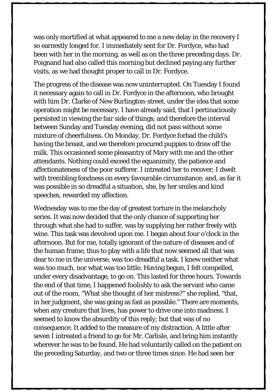was only mortified at what appeared to me a new delay in the recovery I so earnestly longed for. I immediately sent for Dr. Fordyce, who had been with her in the morning, as well as on the three preceding days. Dr. Poignand had also called this morning but declined paying any further visits, as we had thought proper to call in Dr. Fordyce.

The progress of the disease was now uninterrupted. On Tuesday I found it necessary again to call in Dr. Fordyce in the afternoon, who brought with him Dr. Clarke of New Burlington-street, under the idea that some operation might be necessary. I have already said, that I pertinaciously persisted in viewing the fair side of things; and therefore the interval between Sunday and Tuesday evening, did not pass without some mixture of cheerfulness. On Monday, Dr. Fordyce forbad the child's having the breast, and we therefore procured puppies to draw off the milk. This occasioned some pleasantry of Mary with me and the other attendants. Nothing could exceed the equanimity, the patience and affectionateness of the poor sufferer. I intreated her to recover; I dwelt with trembling fondness on every favourable circumstance; and, as far it was possible in so dreadful a situation, she, by her smiles and kind speeches, rewarded my affection.

Wednesday was to me the day of greatest torture in the melancholy series. It was now decided that the only chance of supporting her through what she had to suffer, was by supplying her rather freely with wine. This task was devolved upon me. I began about four o'clock in the afternoon. But for me, totally ignorant of the nature of diseases and of the human frame, thus to play with a life that now seemed all that was dear to me in the universe, was too dreadful a task. I knew neither what was too much, nor what was too little. Having begun, I felt compelled, under every disadvantage, to go on. This lasted for three hours. Towards the end of that time, I happened foolishly to ask the servant who came out of the room, "What she thought of her mistress?" she replied, "that, in her judgment, she was going as fast as possible." There are moments, when any creature that lives, has power to drive one into madness. I seemed to know the absurdity of this reply; but that was of no consequence. It added to the measure of my distraction. A little after seven I intreated a friend to go for Mr. Carlisle, and bring him instantly wherever he was to be found. He had voluntarily called on the patient on the preceding Saturday, and two or three times since. He had seen her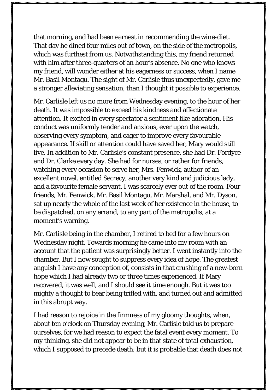that morning, and had been earnest in recommending the wine-diet. That day he dined four miles out of town, on the side of the metropolis, which was furthest from us. Notwithstanding this, my friend returned with him after three-quarters of an hour's absence. No one who knows my friend, will wonder either at his eagerness or success, when I name Mr. Basil Montagu. The sight of Mr. Carlisle thus unexpectedly, gave me a stronger alleviating sensation, than I thought it possible to experience.

Mr. Carlisle left us no more from Wednesday evening, to the hour of her death. It was impossible to exceed his kindness and affectionate attention. It excited in every spectator a sentiment like adoration. His conduct was uniformly tender and anxious, ever upon the watch, observing every symptom, and eager to improve every favourable appearance. If skill or attention could have saved her, Mary would still live. In addition to Mr. Carlisle's constant presence, she had Dr. Fordyce and Dr. Clarke every day. She had for nurses, or rather for friends, watching every occasion to serve her, Mrs. Fenwick, author of an excellent novel, entitled Secrecy, another very kind and judicious lady, and a favourite female servant. I was scarcely ever out of the room. Four friends, Mr. Fenwick, Mr. Basil Montagu, Mr. Marshal, and Mr. Dyson, sat up nearly the whole of the last week of her existence in the house, to be dispatched, on any errand, to any part of the metropolis, at a moment's warning.

Mr. Carlisle being in the chamber, I retired to bed for a few hours on Wednesday night. Towards morning he came into my room with an account that the patient was surprisingly better. I went instantly into the chamber. But I now sought to suppress every idea of hope. The greatest anguish I have any conception of, consists in that crushing of a new-born hope which I had already two or three times experienced. If Mary recovered, it was well, and I should see it time enough. But it was too mighty a thought to bear being trifled with, and turned out and admitted in this abrupt way.

I had reason to rejoice in the firmness of my gloomy thoughts, when, about ten o'clock on Thursday evening, Mr. Carlisle told us to prepare ourselves, for we had reason to expect the fatal event every moment. To my thinking, she did not appear to be in that state of total exhaustion, which I supposed to precede death; but it is probable that death does not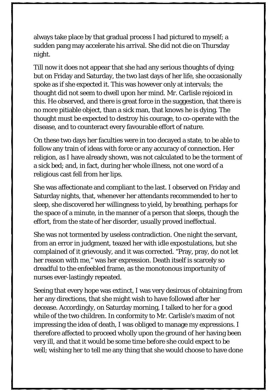always take place by that gradual process I had pictured to myself; a sudden pang may accelerate his arrival. She did not die on Thursday night.

Till now it does not appear that she had any serious thoughts of dying; but on Friday and Saturday, the two last days of her life, she occasionally spoke as if she expected it. This was however only at intervals; the thought did not seem to dwell upon her mind. Mr. Carlisle rejoiced in this. He observed, and there is great force in the suggestion, that there is no more pitiable object, than a sick man, that knows he is dying. The thought must be expected to destroy his courage, to co-operate with the disease, and to counteract every favourable effort of nature.

On these two days her faculties were in too decayed a state, to be able to follow any train of ideas with force or any accuracy of connection. Her religion, as I have already shown, was not calculated to be the torment of a sick bed; and, in fact, during her whole illness, not one word of a religious cast fell from her lips.

She was affectionate and compliant to the last. I observed on Friday and Saturday nights, that, whenever her attendants recommended to her to sleep, she discovered her willingness to yield, by breathing, perhaps for the space of a minute, in the manner of a person that sleeps, though the effort, from the state of her disorder, usually proved ineffectual.

She was not tormented by useless contradiction. One night the servant, from an error in judgment, teazed her with idle expostulations, but she complained of it grievously, and it was corrected. "Pray, pray, do not let her reason with me," was her expression. Death itself is scarcely so dreadful to the enfeebled frame, as the monotonous importunity of nurses ever-lastingly repeated.

Seeing that every hope was extinct, I was very desirous of obtaining from her any directions, that she might wish to have followed after her decease. Accordingly, on Saturday morning, I talked to her for a good while of the two children. In conformity to Mr. Carlisle's maxim of not impressing the idea of death, I was obliged to manage my expressions. I therefore affected to proceed wholly upon the ground of her having been very ill, and that it would be some time before she could expect to be well; wishing her to tell me any thing that she would choose to have done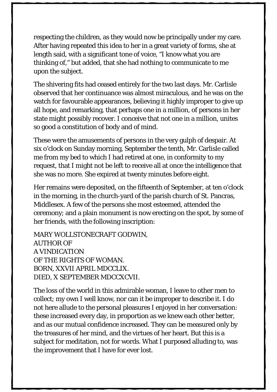respecting the children, as they would now be principally under my care. After having repeated this idea to her in a great variety of forms, she at length said, with a significant tone of voice, "I know what you are thinking of," but added, that she had nothing to communicate to me upon the subject.

The shivering fits had ceased entirely for the two last days. Mr. Carlisle observed that her continuance was almost miraculous, and he was on the watch for favourable appearances, believing it highly improper to give up all hope, and remarking, that perhaps one in a million, of persons in her state might possibly recover. I conceive that not one in a million, unites so good a constitution of body and of mind.

These were the amusements of persons in the very gulph of despair. At six o'clock on Sunday morning, September the tenth, Mr. Carlisle called me from my bed to which I had retired at one, in conformity to my request, that I might not be left to receive all at once the intelligence that she was no more. She expired at twenty minutes before eight.

Her remains were deposited, on the fifteenth of September, at ten o'clock in the morning, in the church-yard of the parish church of St. Pancras, Middlesex. A few of the persons she most esteemed, attended the ceremony; and a plain monument is now erecting on the spot, by some of her friends, with the following inscription:

MARY WOLLSTONECRAFT GODWIN, AUTHOR OF A VINDICATION OF THE RIGHTS OF WOMAN. BORN, XXVII APRIL MDCCLIX. DIED, X SEPTEMBER MDCCXCVII.

The loss of the world in this admirable woman, I leave to other men to collect; my own I well know, nor can it be improper to describe it. I do not here allude to the personal pleasures I enjoyed in her conversation: these increased every day, in proportion as we knew each other better, and as our mutual confidence increased. They can be measured only by the treasures of her mind, and the virtues of her heart. But this is a subject for meditation, not for words. What I purposed alluding to, was the improvement that I have for ever lost.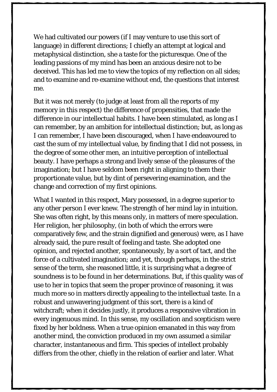We had cultivated our powers (if I may venture to use this sort of language) in different directions; I chiefly an attempt at logical and metaphysical distinction, she a taste for the picturesque. One of the leading passions of my mind has been an anxious desire not to be deceived. This has led me to view the topics of my reflection on all sides; and to examine and re-examine without end, the questions that interest me.

But it was not merely (to judge at least from all the reports of my memory in this respect) the difference of propensities, that made the difference in our intellectual habits. I have been stimulated, as long as I can remember, by an ambition for intellectual distinction; but, as long as I can remember, I have been discouraged, when I have endeavoured to cast the sum of my intellectual value, by finding that I did not possess, in the degree of some other men, an intuitive perception of intellectual beauty. I have perhaps a strong and lively sense of the pleasures of the imagination; but I have seldom been right in aligning to them their proportionate value, but by dint of persevering examination, and the change and correction of my first opinions.

What I wanted in this respect, Mary possessed, in a degree superior to any other person I ever knew. The strength of her mind lay in intuition. She was often right, by this means only, in matters of mere speculation. Her religion, her philosophy, (in both of which the errors were comparatively few, and the strain dignified and generous) were, as I have already said, the pure result of feeling and taste. She adopted one opinion, and rejected another, spontaneously, by a sort of tact, and the force of a cultivated imagination; and yet, though perhaps, in the strict sense of the term, she reasoned little, it is surprising what a degree of soundness is to be found in her determinations. But, if this quality was of use to her in topics that seem the proper province of reasoning, it was much more so in matters directly appealing to the intellectual taste. In a robust and unwavering judgment of this sort, there is a kind of witchcraft; when it decides justly, it produces a responsive vibration in every ingenuous mind. In this sense, my oscillation and scepticism were fixed by her boldness. When a true opinion emanated in this way from another mind, the conviction produced in my own assumed a similar character, instantaneous and firm. This species of intellect probably differs from the other, chiefly in the relation of earlier and later. What

65